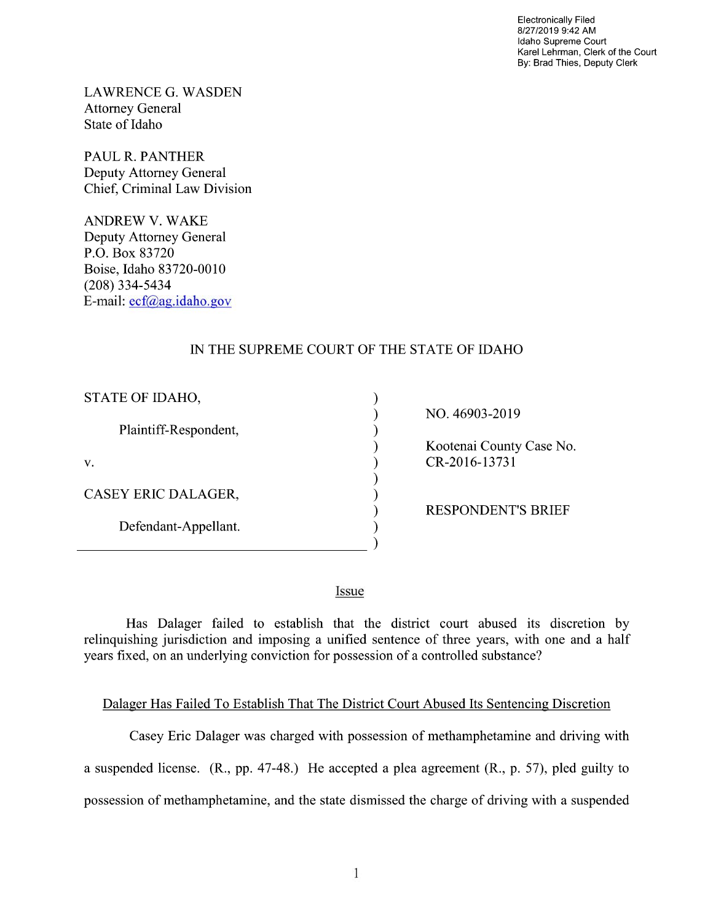Electronically Filed 8/27/2019 9:42 AM Idaho Supreme Court Karel Lehrman, Clerk of the Court By: Brad Thies, Deputy Clerk

LAWRENCE G. WASDEN Attorney General State of Idaho

PAUL R. PANTHER Deputy Attorney General Chief, Criminal Law Division

ANDREW V. WAKE Deputy Attorney General P.O. Box 83720 Boise, Idaho 83720-0010 (208) 334—5434 E—mail: ecf@ag.idaho.g0v

## IN THE SUPREME COURT OF THE STATE OF IDAHO

vvvvvvvvvv

 $\mathcal{E}$ 

 $\lambda$ 

⟩

 $\lambda$  $\mathcal{E}$ 

| STATE OF IDAHO,       |  |
|-----------------------|--|
| Plaintiff-Respondent, |  |
| V.                    |  |
| CASEY ERIC DALAGER,   |  |
| Defendant-Appellant.  |  |

NO. 46903-2019

Kootenai County Case No. CR-2016-13731

RESPONDENT'S BRIEF

Issue

Has Dalager failed to establish that the district court abused its discretion by relinquishing jurisdiction and imposing a unified sentence of three years, with one and a half years fixed, on an underlying conviction for possession of a controlled substance?

## Dalager Has Failed To Establish That The District Court Abused Its Sentencing Discretion

Casey Eric Dalager was charged with possession of methamphetamine and driving with a suspended license.  $(R., pp. 47-48.)$  He accepted a plea agreement  $(R., p. 57)$ , pled guilty to possession of methamphetamine, and the state dismissed the charge of driving with a suspended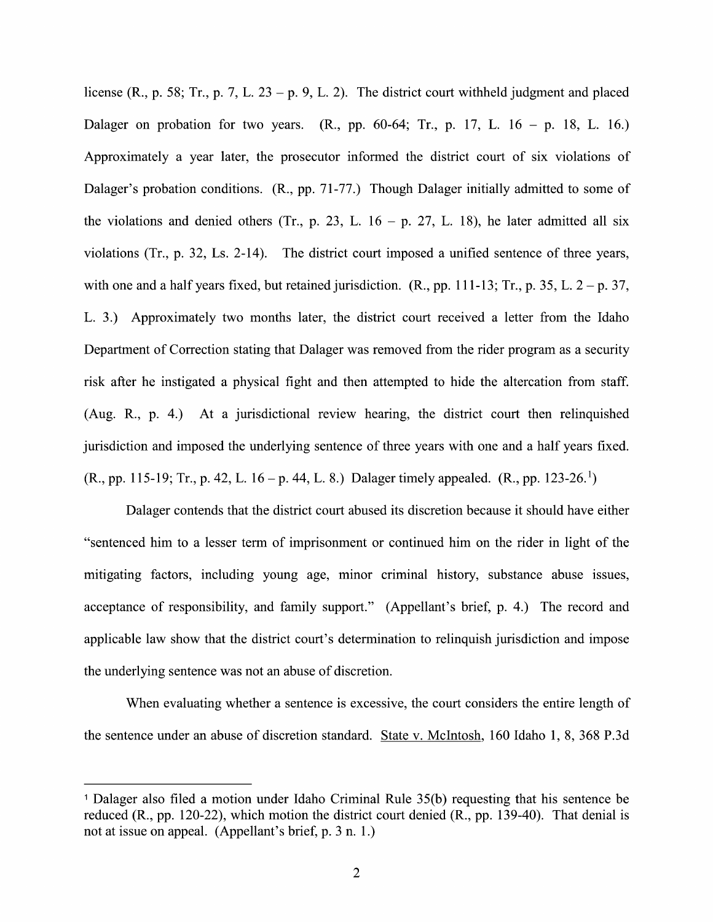license (R., p. 58; Tr., p. 7, L. 23 – p. 9, L. 2). The district court withheld judgment and placed Dalager on probation for two years.  $(R_2, pp. 60-64; Tr_1, p. 17, L_1 16 - p. 18, L_1 16)$ Approximately a year later, the prosecutor informed the district court of six violations of Dalager's probation conditions. (R., pp. 71-77.) Though Dalager initially admitted to some of the violations and denied others (Tr., p. 23, L.  $16 - p$ , 27, L. 18), he later admitted all six violations (Tr., p. 32, Ls. 2-14). The district court imposed a unified sentence of three years, violations (Tr., p. 32, Ls. 2-14). The district court imposed a unified sentence of three years,<br>with one and a half years fixed, but retained jurisdiction. (R., pp. 111-13; Tr., p. 35, L.  $2 - p$ . 37, with one and a half years fixed, but retained jurisdiction. (R., pp. 111-13; Tr., p. 35, L.  $2 - p$ . 37, L.  $2 - p$ . 37, L.  $2 - p$ . 37, L.  $2 - p$ . 37, L.  $2 - p$ . 37, L.  $2 - p$ . 37, L.  $2 - p$ . 37, L.  $2 - p$ . 37, L.  $2 - p$ . 37, L.  $2 -$ Department of Correction stating that Dalager was removed from the rider program as security risk after he instigated a physical fight and then attempted to hide the altercation from staff. (Aug. R., p. 4.) At a jurisdictional review hearing, the district court then relinquished jurisdiction and imposed the underlying sentence of three years with one and a half years fixed. (R., pp. 115-19; Tr., p. 42, L. 16 – p. 44, L. 8.) Dalager timely appealed. (R., pp. 123-26.<sup>1</sup>)

Dalager contends that the district court abused its discretion because it should have either "sentenced him to a lesser term of imprisonment or continued him on the rider in light of the mitigating factors, including young age, minor criminal history, substance abuse issues, acceptance of responsibility, and family support." (Appellant's brief, p. 4.) The record and applicable law show that the district court's determination to relinquish jurisdiction and impose the underlying sentence was not an abuse of discretion.

When evaluating whether a sentence is excessive, the court considers the entire length of the sentence under an abuse 0f discretion standard. State V. McIntosh, 160 Idaho 1, 8, 368 P.3d

Dalager also filed motion under Idaho Criminal Rule 35(b) requesting that his sentence be reduced (R., pp. 120-22), Which motion the district court denied (R., pp. 139-40). That denial is not at issue on appeal. (Appellant's brief,  $p. 3 n. 1.$ )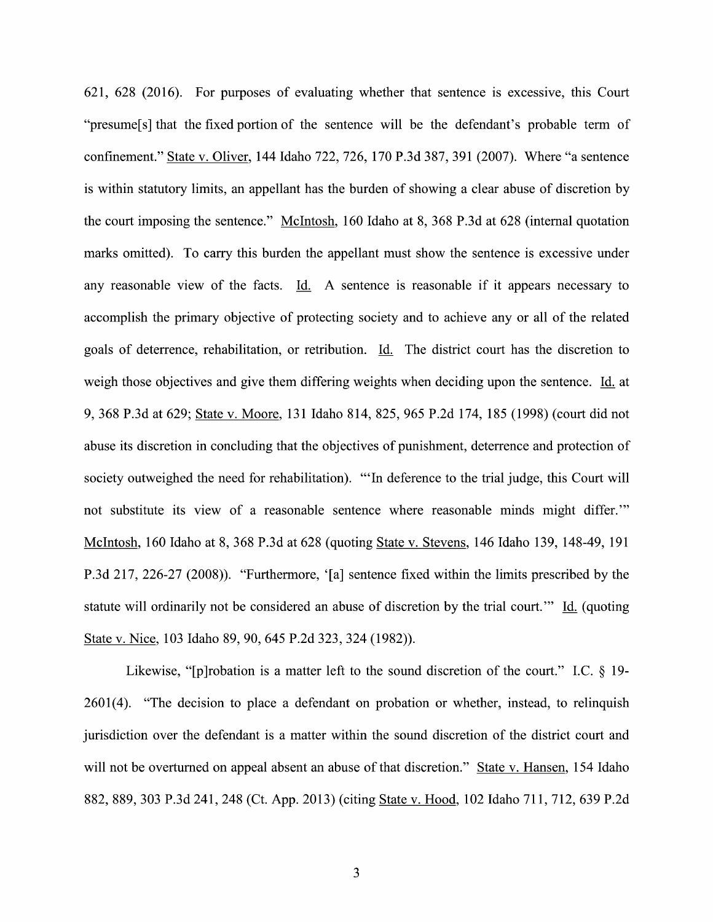621, 628 (2016). For purposes of evaluating whether that sentence is excessive, this Court "presume[s] that the fixed portion of the sentence will be the defendant's probable term of confinement." State V. Oliver, 144 Idaho 722, 726, 170 P.3d 387, 391 (2007). Where "a sentence is within statutory limits, an appellant has the burden of showing a clear abuse of discretion by the court imposing the sentence." McIntosh, 160 Idaho at 8, 368 P.3d at 628 (internal quotation marks omitted). To carry this burden the appellant must show the sentence is excessive under any reasonable view of the facts. Id. A sentence is reasonable if it appears necessary to accomplish the primary objective of protecting society and to achieve any 0r all 0f the related goals 0f deterrence, rehabilitation, or retribution. Li. The district court has the discretion to weigh those objectives and give them differing weights when deciding upon the sentence. Id. at 9, 368 P.3d at 629; State V. Moore, 131 Idaho 814, 825, 965 P.2d 174, 185 (1998) (court did not abuse its discretion in concluding that the objectives of punishment, deterrence and protection 0f society outweighed the need for rehabilitation). "'In deference to the trial judge, this Court will not substitute its view of a reasonable sentence where reasonable minds might differ." McIntosh, 160 Idaho at 8, 368 P.3d at 628 (quoting State V. Stevens, 146 Idaho 139, 148-49, 191 P.3d 217, 226-27 (2008)). "Furthermore, '[a] sentence fixed Within the limits prescribed by the statute will ordinarily not be considered an abuse of discretion by the trial court." Id. (quoting State v. Nice, 103 Idaho 89, 90, 645 P.2d 323, 324 (1982)).

Likewise, "[p]robation is a matter left to the sound discretion of the court." I.C.  $\S$  19- $2601(4)$ . "The decision to place a defendant on probation or whether, instead, to relinquish jurisdiction over the defendant is a matter within the sound discretion of the district court and will not be overturned on appeal absent an abuse of that discretion." State v. Hansen, 154 Idaho 882, 889, 303 P.3d 241, 248 (Ct. App. 2013) (citing State V. Hood, 102 Idaho 71 1, 712, 639 P.2d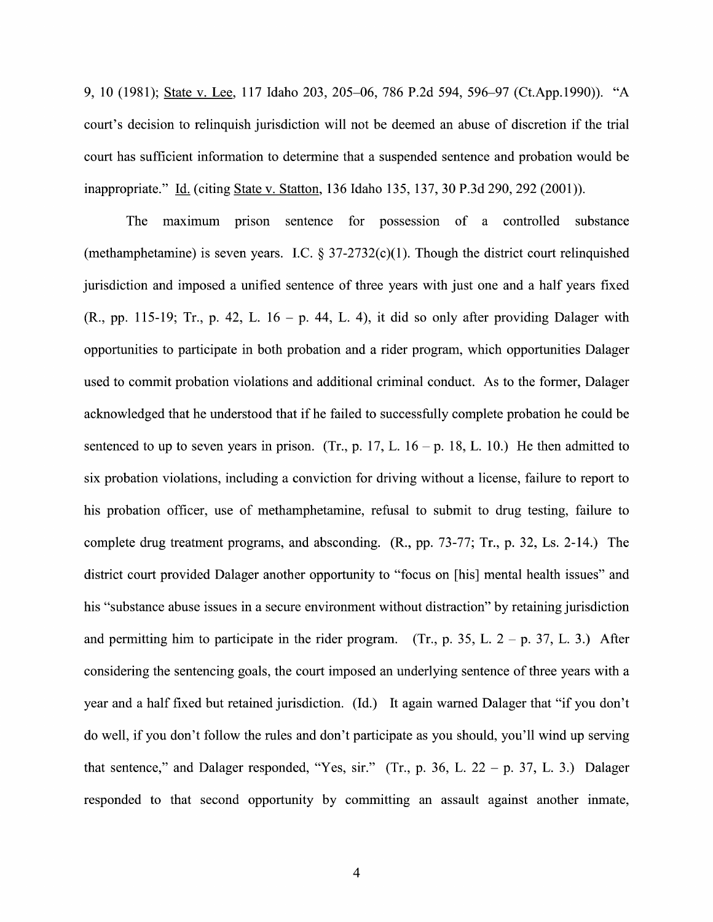9, <sup>10</sup> (1981); State V. Lee, <sup>117</sup> Idaho 203, 205—06, <sup>786</sup> P.2d 594, 596—97 (Ct.App.1990)). "A court's decision to relinquish jurisdiction will not be deemed an abuse of discretion if the trial court has sufficient information to determine that a suspended sentence and probation would be inappropriate." Id. (citing State v. Statton, 136 Idaho 135, 137, 30 P.3d 290, 292 (2001)).

The maximum prison sentence for possession of a controlled substance (methamphetamine) is seven years. I.C.  $\S 37-2732(c)(1)$ . Though the district court relinquished jurisdiction and imposed a unified sentence of three years with just one and a half years fixed (R., pp. 115-19; Tr., p. 42, L. 16 – p. 44, L. 4), it did so only after providing Dalager with opportunities to participate in both probation and a rider program, which opportunities Dalager used to commit probation violations and additional criminal conduct. As to the former, Dalager acknowledged that he understood that if he failed to successfully complete probation he could be sentenced to up to seven years in prison. (Tr., p. 17, L.  $16 - p$ . 18, L. 10.) He then admitted to six probation violations, including a conviction for driving without a license, failure to report to his probation officer, use of methamphetamine, refusal to submit to drug testing, failure to complete drug treatment programs, and absconding. (R., pp. 73-77; Tr., p. 32, Ls. 2-14.) The district court provided Dalager another opportunity to "focus on [his] mental health issues" and his "substance abuse issues in a secure environment without distraction" by retaining jurisdiction and permitting him to participate in the rider program. (Tr., p. 35, L.  $2 - p$ . 37, L. 3.) After considering the sentencing goals, the court imposed an underlying sentence of three years with a year and a half fixed but retained jurisdiction. (Id.) It again warned Dalager that "if you don't d0 well, if you don't follow the rules and don't participate as you should, you'll Wind up serving that sentence," and Dalager responded, "Yes, sir." (Tr., p. 36, L. 22 - p. 37, L. 3.) Dalager responded to that second opportunity by committing an assault against another inmate,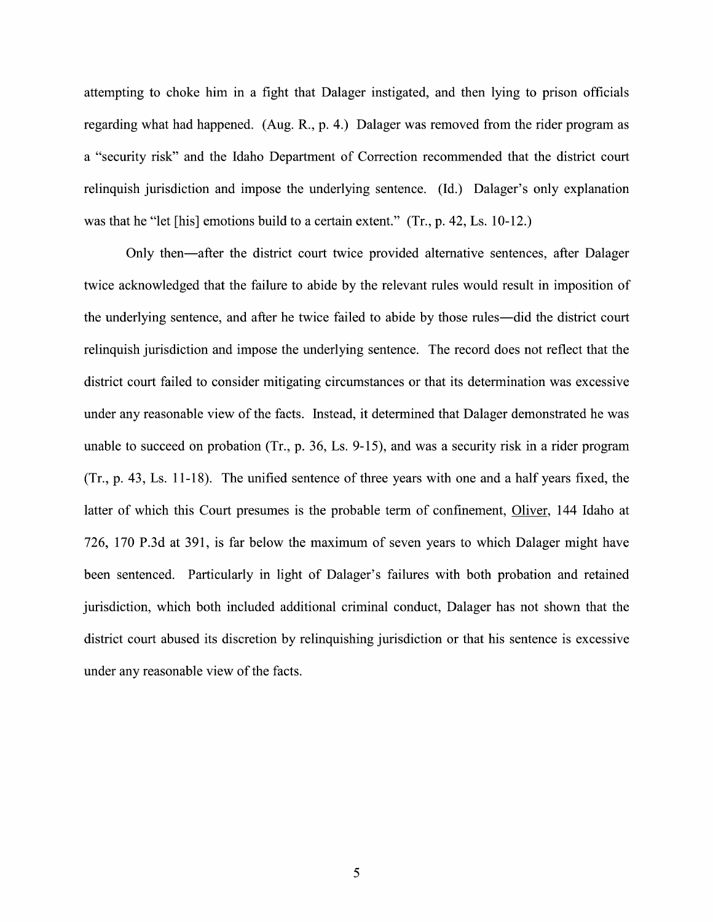attempting to choke him in a fight that Dalager instigated, and then lying to prison officials regarding What had happened. (Aug. R., p. 4.) Dalager was removed from the rider program as "security risk" and the Idaho Department of Correction recommended that the district court relinquish jurisdiction and impose the underlying sentence. (Id.) Dalager's only explanation was that he "let [his] emotions build to a certain extent." (Tr., p. 42, Ls. 10-12.)

Only then—after the district court twice provided alternative sentences, after Dalager twice acknowledged that the failure to abide by the relevant rules would result in imposition of the underlying sentence, and after he twice failed t0 abide by those rules—did the district court relinquish jurisdiction and impose the underlying sentence. The record does not reflect that the district court failed to consider mitigating circumstances or that its determination was excessive under any reasonable view of the facts. Instead, it determined that Dalager demonstrated he was unable to succeed on probation (Tr., p. 36, Ls. 9-15), and was a security risk in a rider program  $(Tr, p. 43, Ls. 11-18)$ . The unified sentence of three years with one and a half years fixed, the latter of which this Court presumes is the probable term of confinement, Oliver, 144 Idaho at 726, 170 P.3d at 391, is far below the maximum of seven years to which Dalager might have been sentenced. Particularly in light of Dalager's failures with both probation and retained jurisdiction, Which both included additional criminal conduct, Dalager has not shown that the district court abused its discretion by relinquishing jurisdiction 0r that his sentence is excessive under any reasonable view of the facts.